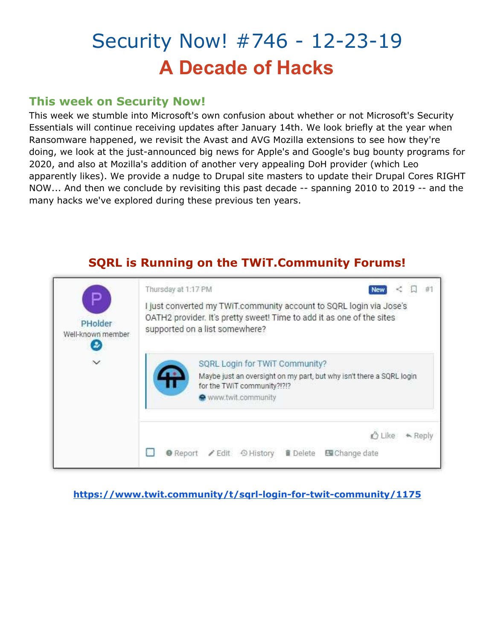# Security Now! #746 - 12-23-19 **A Decade of Hacks**

## **This week on Security Now!**

This week we stumble into Microsoft's own confusion about whether or not Microsoft's Security Essentials will continue receiving updates after January 14th. We look briefly at the year when Ransomware happened, we revisit the Avast and AVG Mozilla extensions to see how they're doing, we look at the just-announced big news for Apple's and Google's bug bounty programs for 2020, and also at Mozilla's addition of another very appealing DoH provider (which Leo apparently likes). We provide a nudge to Drupal site masters to update their Drupal Cores RIGHT NOW... And then we conclude by revisiting this past decade -- spanning 2010 to 2019 -- and the many hacks we've explored during these previous ten years.



**<https://www.twit.community/t/sqrl-login-for-twit-community/1175>**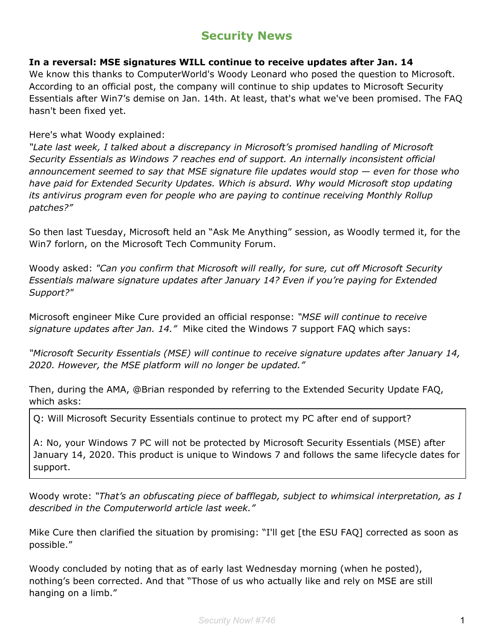## **Security News**

#### **In a reversal: MSE signatures WILL continue to receive updates after Jan. 14**

We know this thanks to ComputerWorld's Woody Leonard who posed the question to Microsoft. According to an official post, the company will continue to ship updates to Microsoft Security Essentials after Win7's demise on Jan. 14th. At least, that's what we've been promised. The FAQ hasn't been fixed yet.

Here's what Woody explained:

*"Late last week, I talked about a discrepancy in Microsoft's promised handling of Microsoft Security Essentials as Windows 7 reaches end of support. An internally inconsistent official announcement seemed to say that MSE signature file updates would stop — even for those who have paid for Extended Security Updates. Which is absurd. Why would Microsoft stop updating its antivirus program even for people who are paying to continue receiving Monthly Rollup patches?"*

So then last Tuesday, Microsoft held an "Ask Me Anything" session, as Woodly termed it, for the Win7 forlorn, on the Microsoft Tech Community Forum.

Woody asked: *"Can you confirm that Microsoft will really, for sure, cut off Microsoft Security Essentials malware signature updates after January 14? Even if you're paying for Extended Support?"*

Microsoft engineer Mike Cure provided an official response: *"MSE will continue to receive signature updates after Jan. 14."* Mike cited the Windows 7 support FAQ which says:

*"Microsoft Security Essentials (MSE) will continue to receive signature updates after January 14, 2020. However, the MSE platform will no longer be updated."*

Then, during the AMA, @Brian responded by referring to the Extended Security Update FAQ, which asks:

Q: Will Microsoft Security Essentials continue to protect my PC after end of support?

A: No, your Windows 7 PC will not be protected by Microsoft Security Essentials (MSE) after January 14, 2020. This product is unique to Windows 7 and follows the same lifecycle dates for support.

Woody wrote: *"That's an obfuscating piece of bafflegab, subject to whimsical interpretation, as I described in the Computerworld article last week."*

Mike Cure then clarified the situation by promising: "I'll get [the ESU FAQ] corrected as soon as possible."

Woody concluded by noting that as of early last Wednesday morning (when he posted), nothing's been corrected. And that "Those of us who actually like and rely on MSE are still hanging on a limb."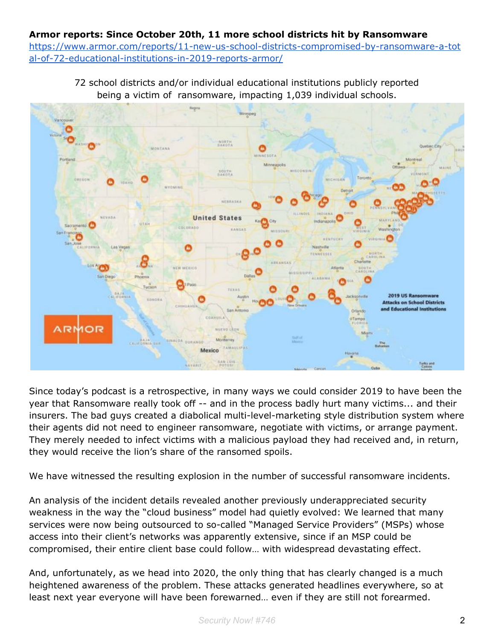#### **Armor reports: Since October 20th, 11 more school districts hit by Ransomware** [https://www.armor.com/reports/11-new-us-school-districts-compromised-by-ransomware-a-tot](https://www.armor.com/reports/11-new-us-school-districts-compromised-by-ransomware-a-total-of-72-educational-institutions-in-2019-reports-armor/) [al-of-72-educational-institutions-in-2019-reports-armor/](https://www.armor.com/reports/11-new-us-school-districts-compromised-by-ransomware-a-total-of-72-educational-institutions-in-2019-reports-armor/)

72 school districts and/or individual educational institutions publicly reported being a victim of ransomware, impacting 1,039 individual schools.



Since today's podcast is a retrospective, in many ways we could consider 2019 to have been the year that Ransomware really took off -- and in the process badly hurt many victims... and their insurers. The bad guys created a diabolical multi-level-marketing style distribution system where their agents did not need to engineer ransomware, negotiate with victims, or arrange payment. They merely needed to infect victims with a malicious payload they had received and, in return, they would receive the lion's share of the ransomed spoils.

We have witnessed the resulting explosion in the number of successful ransomware incidents.

An analysis of the incident details revealed another previously underappreciated security weakness in the way the "cloud business" model had quietly evolved: We learned that many services were now being outsourced to so-called "Managed Service Providers" (MSPs) whose access into their client's networks was apparently extensive, since if an MSP could be compromised, their entire client base could follow… with widespread devastating effect.

And, unfortunately, as we head into 2020, the only thing that has clearly changed is a much heightened awareness of the problem. These attacks generated headlines everywhere, so at least next year everyone will have been forewarned… even if they are still not forearmed.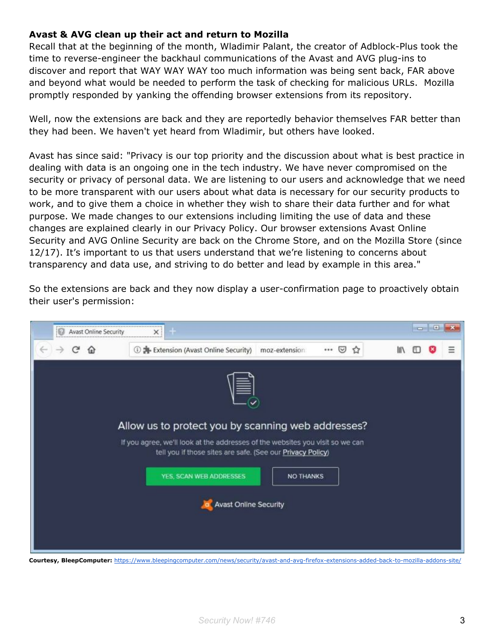#### **Avast & AVG clean up their act and return to Mozilla**

Recall that at the beginning of the month, Wladimir Palant, the creator of Adblock-Plus took the time to reverse-engineer the backhaul communications of the Avast and AVG plug-ins to discover and report that WAY WAY WAY too much information was being sent back, FAR above and beyond what would be needed to perform the task of checking for malicious URLs. Mozilla promptly responded by yanking the offending browser extensions from its repository.

Well, now the extensions are back and they are reportedly behavior themselves FAR better than they had been. We haven't yet heard from Wladimir, but others have looked.

Avast has since said: "Privacy is our top priority and the discussion about what is best practice in dealing with data is an ongoing one in the tech industry. We have never compromised on the security or privacy of personal data. We are listening to our users and acknowledge that we need to be more transparent with our users about what data is necessary for our security products to work, and to give them a choice in whether they wish to share their data further and for what purpose. We made changes to our extensions including limiting the use of data and these changes are explained clearly in our Privacy Policy. Our browser extensions Avast Online Security and AVG Online Security are back on the Chrome Store, and on the Mozilla Store (since 12/17). It's important to us that users understand that we're listening to concerns about transparency and data use, and striving to do better and lead by example in this area."

So the extensions are back and they now display a user-confirmation page to proactively obtain their user's permission:



**Courtesy, BleepComputer:** <https://www.bleepingcomputer.com/news/security/avast-and-avg-firefox-extensions-added-back-to-mozilla-addons-site/>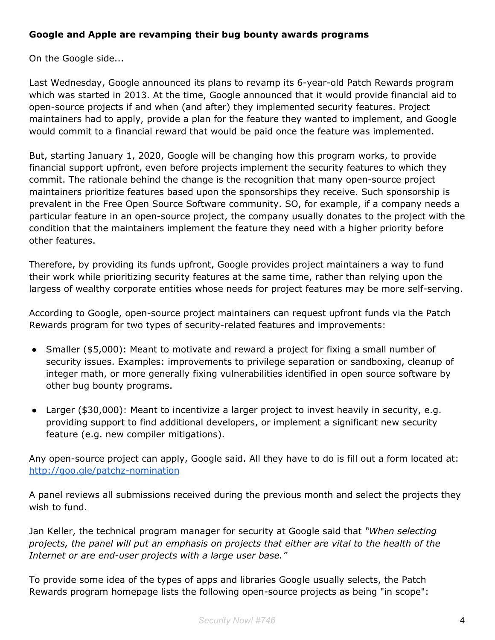#### **Google and Apple are revamping their bug bounty awards programs**

On the Google side...

Last Wednesday, Google announced its plans to revamp its 6-year-old Patch Rewards program which was started in 2013. At the time, Google announced that it would provide financial aid to open-source projects if and when (and after) they implemented security features. Project maintainers had to apply, provide a plan for the feature they wanted to implement, and Google would commit to a financial reward that would be paid once the feature was implemented.

But, starting January 1, 2020, Google will be changing how this program works, to provide financial support upfront, even before projects implement the security features to which they commit. The rationale behind the change is the recognition that many open-source project maintainers prioritize features based upon the sponsorships they receive. Such sponsorship is prevalent in the Free Open Source Software community. SO, for example, if a company needs a particular feature in an open-source project, the company usually donates to the project with the condition that the maintainers implement the feature they need with a higher priority before other features.

Therefore, by providing its funds upfront, Google provides project maintainers a way to fund their work while prioritizing security features at the same time, rather than relying upon the largess of wealthy corporate entities whose needs for project features may be more self-serving.

According to Google, open-source project maintainers can request upfront funds via the Patch Rewards program for two types of security-related features and improvements:

- Smaller (\$5,000): Meant to motivate and reward a project for fixing a small number of security issues. Examples: improvements to privilege separation or sandboxing, cleanup of integer math, or more generally fixing vulnerabilities identified in open source software by other bug bounty programs.
- Larger (\$30,000): Meant to incentivize a larger project to invest heavily in security, e.g. providing support to find additional developers, or implement a significant new security feature (e.g. new compiler mitigations).

Any open-source project can apply, Google said. All they have to do is fill out a form located at: <http://goo.gle/patchz-nomination>

A panel reviews all submissions received during the previous month and select the projects they wish to fund.

Jan Keller, the technical program manager for security at Google said that *"When selecting projects, the panel will put an emphasis on projects that either are vital to the health of the Internet or are end-user projects with a large user base."*

To provide some idea of the types of apps and libraries Google usually selects, the Patch Rewards program homepage lists the following open-source projects as being "in scope":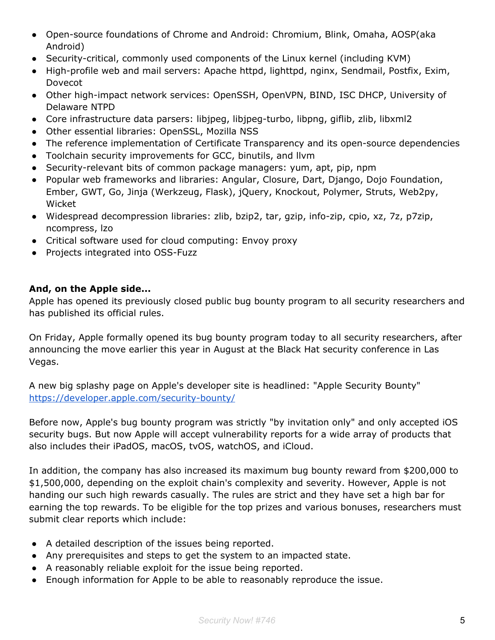- Open-source foundations of Chrome and Android: Chromium, Blink, Omaha, AOSP(aka Android)
- Security-critical, commonly used components of the Linux kernel (including KVM)
- High-profile web and mail servers: Apache httpd, lighttpd, nginx, Sendmail, Postfix, Exim, Dovecot
- Other high-impact network services: OpenSSH, OpenVPN, BIND, ISC DHCP, University of Delaware NTPD
- Core infrastructure data parsers: libjpeg, libjpeg-turbo, libpng, giflib, zlib, libxml2
- Other essential libraries: OpenSSL, Mozilla NSS
- The reference implementation of Certificate Transparency and its open-source dependencies
- Toolchain security improvements for GCC, binutils, and llvm
- Security-relevant bits of common package managers: yum, apt, pip, npm
- Popular web frameworks and libraries: Angular, Closure, Dart, Django, Dojo Foundation, Ember, GWT, Go, Jinja (Werkzeug, Flask), jQuery, Knockout, Polymer, Struts, Web2py, Wicket
- Widespread decompression libraries: zlib, bzip2, tar, gzip, info-zip, cpio, xz, 7z, p7zip, ncompress, lzo
- Critical software used for cloud computing: Envoy proxy
- Projects integrated into OSS-Fuzz

## **And, on the Apple side...**

Apple has opened its previously closed public bug bounty program to all security researchers and has published its official rules.

On Friday, Apple formally opened its bug bounty program today to all security researchers, after announcing the move earlier this year in August at the Black Hat security conference in Las Vegas.

A new big splashy page on Apple's developer site is headlined: "Apple Security Bounty" <https://developer.apple.com/security-bounty/>

Before now, Apple's bug bounty program was strictly "by invitation only" and only accepted iOS security bugs. But now Apple will accept vulnerability reports for a wide array of products that also includes their iPadOS, macOS, tvOS, watchOS, and iCloud.

In addition, the company has also increased its maximum bug bounty reward from \$200,000 to \$1,500,000, depending on the exploit chain's complexity and severity. However, Apple is not handing our such high rewards casually. The rules are strict and they have set a high bar for earning the top rewards. To be eligible for the top prizes and various bonuses, researchers must submit clear reports which include:

- A detailed description of the issues being reported.
- Any prerequisites and steps to get the system to an impacted state.
- A reasonably reliable exploit for the issue being reported.
- Enough information for Apple to be able to reasonably reproduce the issue.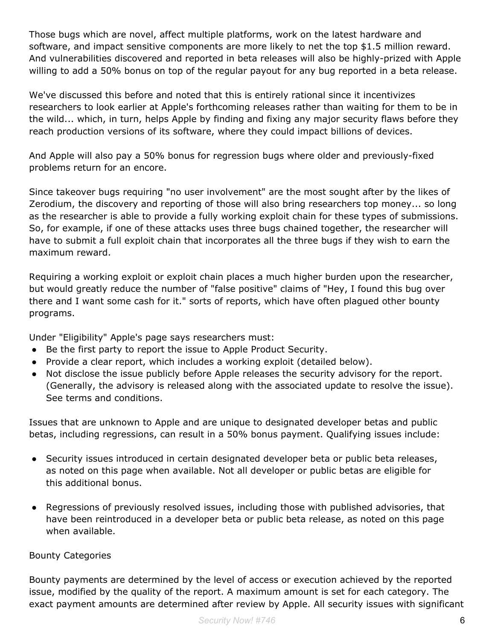Those bugs which are novel, affect multiple platforms, work on the latest hardware and software, and impact sensitive components are more likely to net the top \$1.5 million reward. And vulnerabilities discovered and reported in beta releases will also be highly-prized with Apple willing to add a 50% bonus on top of the regular payout for any bug reported in a beta release.

We've discussed this before and noted that this is entirely rational since it incentivizes researchers to look earlier at Apple's forthcoming releases rather than waiting for them to be in the wild... which, in turn, helps Apple by finding and fixing any major security flaws before they reach production versions of its software, where they could impact billions of devices.

And Apple will also pay a 50% bonus for regression bugs where older and previously-fixed problems return for an encore.

Since takeover bugs requiring "no user involvement" are the most sought after by the likes of Zerodium, the discovery and reporting of those will also bring researchers top money... so long as the researcher is able to provide a fully working exploit chain for these types of submissions. So, for example, if one of these attacks uses three bugs chained together, the researcher will have to submit a full exploit chain that incorporates all the three bugs if they wish to earn the maximum reward.

Requiring a working exploit or exploit chain places a much higher burden upon the researcher, but would greatly reduce the number of "false positive" claims of "Hey, I found this bug over there and I want some cash for it." sorts of reports, which have often plagued other bounty programs.

Under "Eligibility" Apple's page says researchers must:

- Be the first party to report the issue to Apple Product Security.
- Provide a clear report, which includes a working exploit (detailed below).
- Not disclose the issue publicly before Apple releases the security advisory for the report. (Generally, the advisory is released along with the associated update to resolve the issue). See terms and conditions.

Issues that are unknown to Apple and are unique to designated developer betas and public betas, including regressions, can result in a 50% bonus payment. Qualifying issues include:

- Security issues introduced in certain designated developer beta or public beta releases, as noted on this page when available. Not all developer or public betas are eligible for this additional bonus.
- Regressions of previously resolved issues, including those with published advisories, that have been reintroduced in a developer beta or public beta release, as noted on this page when available.

#### Bounty Categories

Bounty payments are determined by the level of access or execution achieved by the reported issue, modified by the quality of the report. A maximum amount is set for each category. The exact payment amounts are determined after review by Apple. All security issues with significant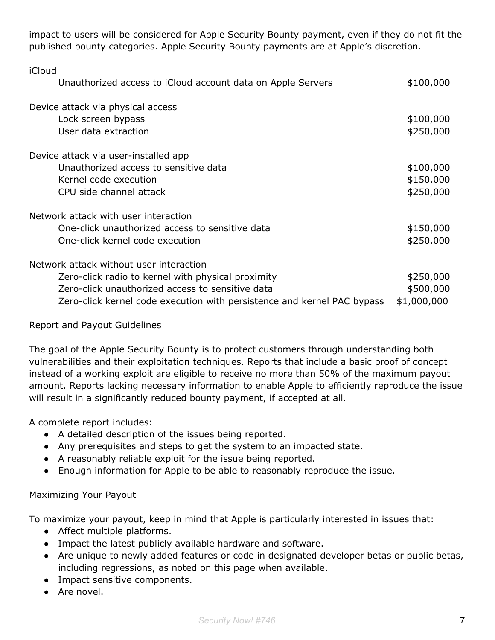impact to users will be considered for Apple Security Bounty payment, even if they do not fit the published bounty categories. Apple Security Bounty payments are at Apple's discretion.

| iCloud                                                                  |             |
|-------------------------------------------------------------------------|-------------|
| Unauthorized access to iCloud account data on Apple Servers             | \$100,000   |
| Device attack via physical access                                       |             |
| Lock screen bypass                                                      | \$100,000   |
| User data extraction                                                    | \$250,000   |
| Device attack via user-installed app                                    |             |
| Unauthorized access to sensitive data                                   | \$100,000   |
| Kernel code execution                                                   | \$150,000   |
| CPU side channel attack                                                 | \$250,000   |
| Network attack with user interaction                                    |             |
| One-click unauthorized access to sensitive data                         | \$150,000   |
| One-click kernel code execution                                         | \$250,000   |
| Network attack without user interaction                                 |             |
| Zero-click radio to kernel with physical proximity                      | \$250,000   |
| Zero-click unauthorized access to sensitive data                        | \$500,000   |
| Zero-click kernel code execution with persistence and kernel PAC bypass | \$1,000,000 |

#### Report and Payout Guidelines

The goal of the Apple Security Bounty is to protect customers through understanding both vulnerabilities and their exploitation techniques. Reports that include a basic proof of concept instead of a working exploit are eligible to receive no more than 50% of the maximum payout amount. Reports lacking necessary information to enable Apple to efficiently reproduce the issue will result in a significantly reduced bounty payment, if accepted at all.

A complete report includes:

- A detailed description of the issues being reported.
- Any prerequisites and steps to get the system to an impacted state.
- A reasonably reliable exploit for the issue being reported.
- Enough information for Apple to be able to reasonably reproduce the issue.

## Maximizing Your Payout

To maximize your payout, keep in mind that Apple is particularly interested in issues that:

- Affect multiple platforms.
- Impact the latest publicly available hardware and software.
- Are unique to newly added features or code in designated developer betas or public betas, including regressions, as noted on this page when available.
- Impact sensitive components.
- Are novel.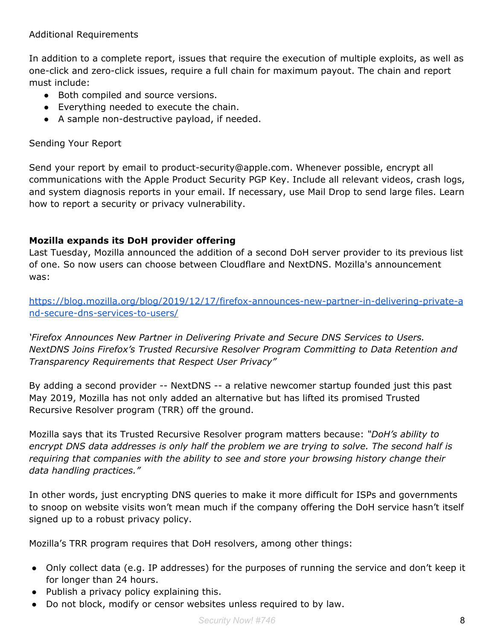#### Additional Requirements

In addition to a complete report, issues that require the execution of multiple exploits, as well as one-click and zero-click issues, require a full chain for maximum payout. The chain and report must include:

- Both compiled and source versions.
- Everything needed to execute the chain.
- A sample non-destructive payload, if needed.

#### Sending Your Report

Send your report by email to product-security@apple.com. Whenever possible, encrypt all communications with the Apple Product Security PGP Key. Include all relevant videos, crash logs, and system diagnosis reports in your email. If necessary, use Mail Drop to send large files. Learn how to report a security or privacy vulnerability.

#### **Mozilla expands its DoH provider offering**

Last Tuesday, Mozilla announced the addition of a second DoH server provider to its previous list of one. So now users can choose between Cloudflare and NextDNS. Mozilla's announcement was:

[https://blog.mozilla.org/blog/2019/12/17/firefox-announces-new-partner-in-delivering-private-a](https://blog.mozilla.org/blog/2019/12/17/firefox-announces-new-partner-in-delivering-private-and-secure-dns-services-to-users/) [nd-secure-dns-services-to-users/](https://blog.mozilla.org/blog/2019/12/17/firefox-announces-new-partner-in-delivering-private-and-secure-dns-services-to-users/)

*'Firefox Announces New Partner in Delivering Private and Secure DNS Services to Users. NextDNS Joins Firefox's Trusted Recursive Resolver Program Committing to Data Retention and Transparency Requirements that Respect User Privacy"*

By adding a second provider -- NextDNS -- a relative newcomer startup founded just this past May 2019, Mozilla has not only added an alternative but has lifted its promised Trusted Recursive Resolver program (TRR) off the ground.

Mozilla says that its Trusted Recursive Resolver program matters because: *"DoH's ability to encrypt DNS data addresses is only half the problem we are trying to solve. The second half is requiring that companies with the ability to see and store your browsing history change their data handling practices."*

In other words, just encrypting DNS queries to make it more difficult for ISPs and governments to snoop on website visits won't mean much if the company offering the DoH service hasn't itself signed up to a robust privacy policy.

Mozilla's TRR program requires that DoH resolvers, among other things:

- Only collect data (e.g. IP addresses) for the purposes of running the service and don't keep it for longer than 24 hours.
- Publish a privacy policy explaining this.
- Do not block, modify or censor websites unless required to by law.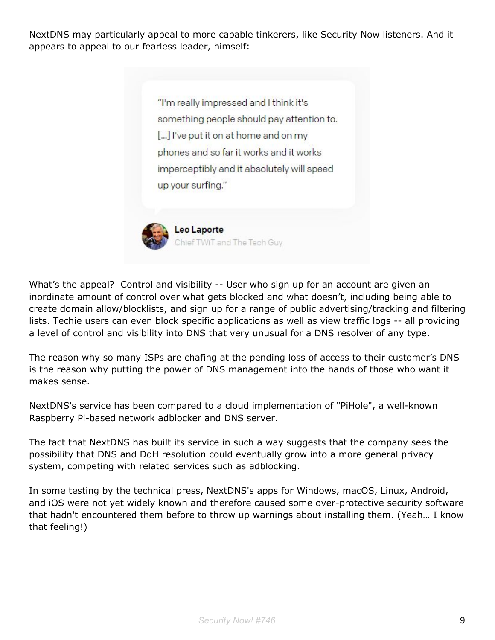NextDNS may particularly appeal to more capable tinkerers, like Security Now listeners. And it appears to appeal to our fearless leader, himself:

> "I'm really impressed and I think it's something people should pay attention to. [...] I've put it on at home and on my phones and so far it works and it works imperceptibly and it absolutely will speed up your surfing."



Leo Laporte Chief TWiT and The Tech Guy

What's the appeal? Control and visibility -- User who sign up for an account are given an inordinate amount of control over what gets blocked and what doesn't, including being able to create domain allow/blocklists, and sign up for a range of public advertising/tracking and filtering lists. Techie users can even block specific applications as well as view traffic logs -- all providing a level of control and visibility into DNS that very unusual for a DNS resolver of any type.

The reason why so many ISPs are chafing at the pending loss of access to their customer's DNS is the reason why putting the power of DNS management into the hands of those who want it makes sense.

NextDNS's service has been compared to a cloud implementation of "PiHole", a well-known Raspberry Pi-based network adblocker and DNS server.

The fact that NextDNS has built its service in such a way suggests that the company sees the possibility that DNS and DoH resolution could eventually grow into a more general privacy system, competing with related services such as adblocking.

In some testing by the technical press, NextDNS's apps for Windows, macOS, Linux, Android, and iOS were not yet widely known and therefore caused some over-protective security software that hadn't encountered them before to throw up warnings about installing them. (Yeah… I know that feeling!)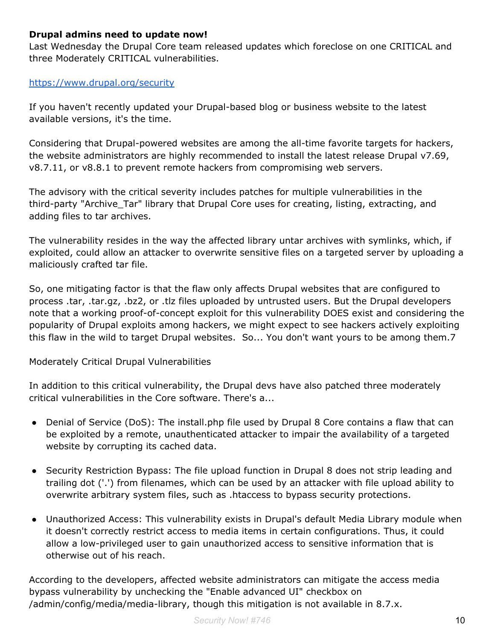#### **Drupal admins need to update now!**

Last Wednesday the Drupal Core team released updates which foreclose on one CRITICAL and three Moderately CRITICAL vulnerabilities.

#### <https://www.drupal.org/security>

If you haven't recently updated your Drupal-based blog or business website to the latest available versions, it's the time.

Considering that Drupal-powered websites are among the all-time favorite targets for hackers, the website administrators are highly recommended to install the latest release Drupal v7.69, v8.7.11, or v8.8.1 to prevent remote hackers from compromising web servers.

The advisory with the critical severity includes patches for multiple vulnerabilities in the third-party "Archive\_Tar" library that Drupal Core uses for creating, listing, extracting, and adding files to tar archives.

The vulnerability resides in the way the affected library untar archives with symlinks, which, if exploited, could allow an attacker to overwrite sensitive files on a targeted server by uploading a maliciously crafted tar file.

So, one mitigating factor is that the flaw only affects Drupal websites that are configured to process .tar, .tar.gz, .bz2, or .tlz files uploaded by untrusted users. But the Drupal developers note that a working proof-of-concept exploit for this vulnerability DOES exist and considering the popularity of Drupal exploits among hackers, we might expect to see hackers actively exploiting this flaw in the wild to target Drupal websites. So... You don't want yours to be among them.7

Moderately Critical Drupal Vulnerabilities

In addition to this critical vulnerability, the Drupal devs have also patched three moderately critical vulnerabilities in the Core software. There's a...

- Denial of Service (DoS): The install.php file used by Drupal 8 Core contains a flaw that can be exploited by a remote, unauthenticated attacker to impair the availability of a targeted website by corrupting its cached data.
- Security Restriction Bypass: The file upload function in Drupal 8 does not strip leading and trailing dot ('.') from filenames, which can be used by an attacker with file upload ability to overwrite arbitrary system files, such as .htaccess to bypass security protections.
- Unauthorized Access: This vulnerability exists in Drupal's default Media Library module when it doesn't correctly restrict access to media items in certain configurations. Thus, it could allow a low-privileged user to gain unauthorized access to sensitive information that is otherwise out of his reach.

According to the developers, affected website administrators can mitigate the access media bypass vulnerability by unchecking the "Enable advanced UI" checkbox on /admin/config/media/media-library, though this mitigation is not available in 8.7.x.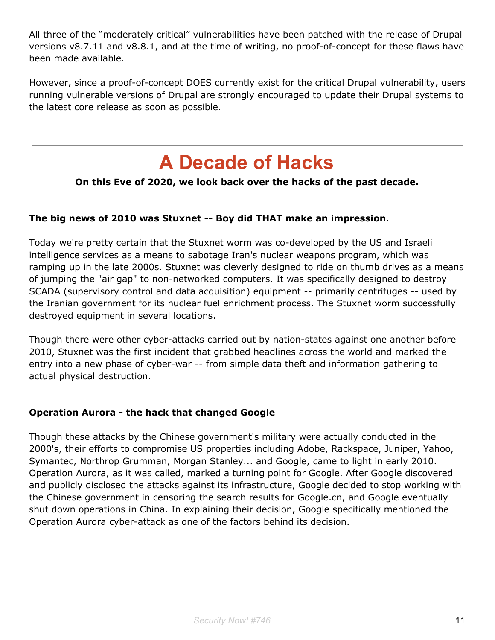All three of the "moderately critical" vulnerabilities have been patched with the release of Drupal versions v8.7.11 and v8.8.1, and at the time of writing, no proof-of-concept for these flaws have been made available.

However, since a proof-of-concept DOES currently exist for the critical Drupal vulnerability, users running vulnerable versions of Drupal are strongly encouraged to update their Drupal systems to the latest core release as soon as possible.

## **A Decade of Hacks**

## **On this Eve of 2020, we look back over the hacks of the past decade.**

## **The big news of 2010 was Stuxnet -- Boy did THAT make an impression.**

Today we're pretty certain that the Stuxnet worm was co-developed by the US and Israeli intelligence services as a means to sabotage Iran's nuclear weapons program, which was ramping up in the late 2000s. Stuxnet was cleverly designed to ride on thumb drives as a means of jumping the "air gap" to non-networked computers. It was specifically designed to destroy SCADA (supervisory control and data acquisition) equipment -- primarily centrifuges -- used by the Iranian government for its nuclear fuel enrichment process. The Stuxnet worm successfully destroyed equipment in several locations.

Though there were other cyber-attacks carried out by nation-states against one another before 2010, Stuxnet was the first incident that grabbed headlines across the world and marked the entry into a new phase of cyber-war -- from simple data theft and information gathering to actual physical destruction.

## **Operation Aurora - the hack that changed Google**

Though these attacks by the Chinese government's military were actually conducted in the 2000's, their efforts to compromise US properties including Adobe, Rackspace, Juniper, Yahoo, Symantec, Northrop Grumman, Morgan Stanley... and Google, came to light in early 2010. Operation Aurora, as it was called, marked a turning point for Google. After Google discovered and publicly disclosed the attacks against its infrastructure, Google decided to stop working with the Chinese government in censoring the search results for Google.cn, and Google eventually shut down operations in China. In explaining their decision, Google specifically mentioned the Operation Aurora cyber-attack as one of the factors behind its decision.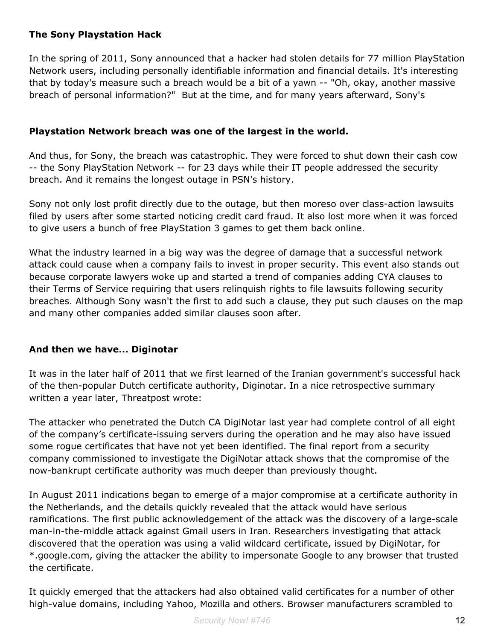#### **The Sony Playstation Hack**

In the spring of 2011, Sony announced that a hacker had stolen details for 77 million PlayStation Network users, including personally identifiable information and financial details. It's interesting that by today's measure such a breach would be a bit of a yawn -- "Oh, okay, another massive breach of personal information?" But at the time, and for many years afterward, Sony's

#### **Playstation Network breach was one of the largest in the world.**

And thus, for Sony, the breach was catastrophic. They were forced to shut down their cash cow -- the Sony PlayStation Network -- for 23 days while their IT people addressed the security breach. And it remains the longest outage in PSN's history.

Sony not only lost profit directly due to the outage, but then moreso over class-action lawsuits filed by users after some started noticing credit card fraud. It also lost more when it was forced to give users a bunch of free PlayStation 3 games to get them back online.

What the industry learned in a big way was the degree of damage that a successful network attack could cause when a company fails to invest in proper security. This event also stands out because corporate lawyers woke up and started a trend of companies adding CYA clauses to their Terms of Service requiring that users relinquish rights to file lawsuits following security breaches. Although Sony wasn't the first to add such a clause, they put such clauses on the map and many other companies added similar clauses soon after.

#### **And then we have... Diginotar**

It was in the later half of 2011 that we first learned of the Iranian government's successful hack of the then-popular Dutch certificate authority, Diginotar. In a nice retrospective summary written a year later, Threatpost wrote:

The attacker who penetrated the Dutch CA DigiNotar last year had complete control of all eight of the company's certificate-issuing servers during the operation and he may also have issued some rogue certificates that have not yet been identified. The final report from a security company commissioned to investigate the DigiNotar attack shows that the compromise of the now-bankrupt certificate authority was much deeper than previously thought.

In August 2011 indications began to emerge of a major compromise at a certificate authority in the Netherlands, and the details quickly revealed that the attack would have serious ramifications. The first public acknowledgement of the attack was the discovery of a large-scale man-in-the-middle attack against Gmail users in Iran. Researchers investigating that attack discovered that the operation was using a valid wildcard certificate, issued by DigiNotar, for \*.google.com, giving the attacker the ability to impersonate Google to any browser that trusted the certificate.

It quickly emerged that the attackers had also obtained valid certificates for a number of other high-value domains, including Yahoo, Mozilla and others. Browser manufacturers scrambled to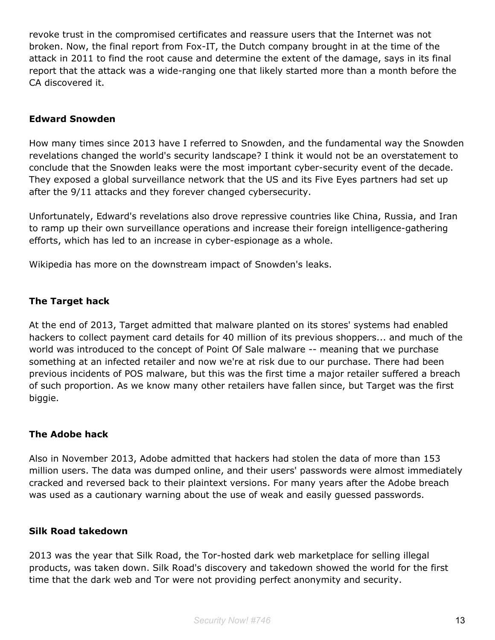revoke trust in the compromised certificates and reassure users that the Internet was not broken. Now, the final report from Fox-IT, the Dutch company brought in at the time of the attack in 2011 to find the root cause and determine the extent of the damage, says in its final report that the attack was a wide-ranging one that likely started more than a month before the CA discovered it.

#### **Edward Snowden**

How many times since 2013 have I referred to Snowden, and the fundamental way the Snowden revelations changed the world's security landscape? I think it would not be an overstatement to conclude that the Snowden leaks were the most important cyber-security event of the decade. They exposed a global surveillance network that the US and its Five Eyes partners had set up after the 9/11 attacks and they forever changed cybersecurity.

Unfortunately, Edward's revelations also drove repressive countries like China, Russia, and Iran to ramp up their own surveillance operations and increase their foreign intelligence-gathering efforts, which has led to an increase in cyber-espionage as a whole.

Wikipedia has more on the downstream impact of Snowden's leaks.

#### **The Target hack**

At the end of 2013, Target admitted that malware planted on its stores' systems had enabled hackers to collect payment card details for 40 million of its previous shoppers... and much of the world was introduced to the concept of Point Of Sale malware -- meaning that we purchase something at an infected retailer and now we're at risk due to our purchase. There had been previous incidents of POS malware, but this was the first time a major retailer suffered a breach of such proportion. As we know many other retailers have fallen since, but Target was the first biggie.

#### **The Adobe hack**

Also in November 2013, Adobe admitted that hackers had stolen the data of more than 153 million users. The data was dumped online, and their users' passwords were almost immediately cracked and reversed back to their plaintext versions. For many years after the Adobe breach was used as a cautionary warning about the use of weak and easily guessed passwords.

#### **Silk Road takedown**

2013 was the year that Silk Road, the Tor-hosted dark web marketplace for selling illegal products, was taken down. Silk Road's discovery and takedown showed the world for the first time that the dark web and Tor were not providing perfect anonymity and security.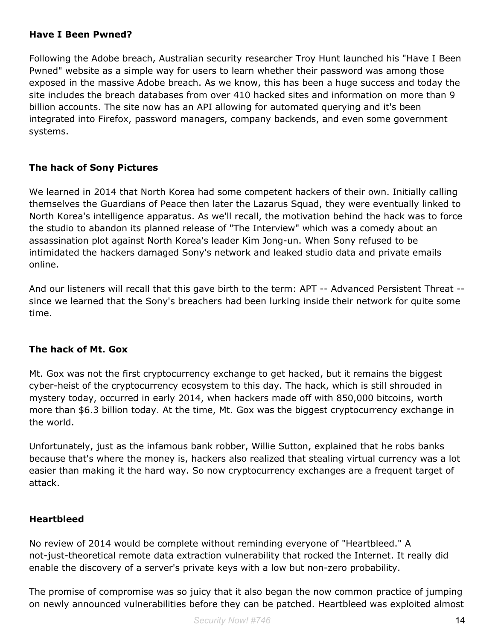#### **Have I Been Pwned?**

Following the Adobe breach, Australian security researcher Troy Hunt launched his "Have I Been Pwned" website as a simple way for users to learn whether their password was among those exposed in the massive Adobe breach. As we know, this has been a huge success and today the site includes the breach databases from over 410 hacked sites and information on more than 9 billion accounts. The site now has an API allowing for automated querying and it's been integrated into Firefox, password managers, company backends, and even some government systems.

## **The hack of Sony Pictures**

We learned in 2014 that North Korea had some competent hackers of their own. Initially calling themselves the Guardians of Peace then later the Lazarus Squad, they were eventually linked to North Korea's intelligence apparatus. As we'll recall, the motivation behind the hack was to force the studio to abandon its planned release of "The Interview" which was a comedy about an assassination plot against North Korea's leader Kim Jong-un. When Sony refused to be intimidated the hackers damaged Sony's network and leaked studio data and private emails online.

And our listeners will recall that this gave birth to the term: APT -- Advanced Persistent Threat - since we learned that the Sony's breachers had been lurking inside their network for quite some time.

## **The hack of Mt. Gox**

Mt. Gox was not the first cryptocurrency exchange to get hacked, but it remains the biggest cyber-heist of the cryptocurrency ecosystem to this day. The hack, which is still shrouded in mystery today, occurred in early 2014, when hackers made off with 850,000 bitcoins, worth more than \$6.3 billion today. At the time, Mt. Gox was the biggest cryptocurrency exchange in the world.

Unfortunately, just as the infamous bank robber, Willie Sutton, explained that he robs banks because that's where the money is, hackers also realized that stealing virtual currency was a lot easier than making it the hard way. So now cryptocurrency exchanges are a frequent target of attack.

## **Heartbleed**

No review of 2014 would be complete without reminding everyone of "Heartbleed." A not-just-theoretical remote data extraction vulnerability that rocked the Internet. It really did enable the discovery of a server's private keys with a low but non-zero probability.

The promise of compromise was so juicy that it also began the now common practice of jumping on newly announced vulnerabilities before they can be patched. Heartbleed was exploited almost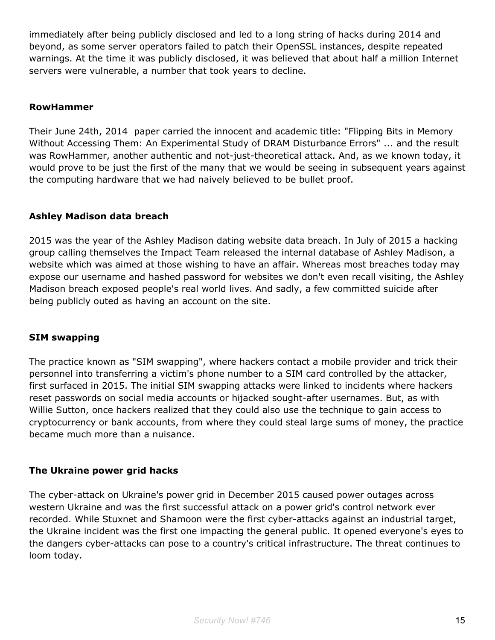immediately after being publicly disclosed and led to a long string of hacks during 2014 and beyond, as some server operators failed to patch their OpenSSL instances, despite repeated warnings. At the time it was publicly disclosed, it was believed that about half a million Internet servers were vulnerable, a number that took years to decline.

#### **RowHammer**

Their June 24th, 2014 paper carried the innocent and academic title: "Flipping Bits in Memory Without Accessing Them: An Experimental Study of DRAM Disturbance Errors" ... and the result was RowHammer, another authentic and not-just-theoretical attack. And, as we known today, it would prove to be just the first of the many that we would be seeing in subsequent years against the computing hardware that we had naively believed to be bullet proof.

## **Ashley Madison data breach**

2015 was the year of the Ashley Madison dating website data breach. In July of 2015 a hacking group calling themselves the Impact Team released the internal database of Ashley Madison, a website which was aimed at those wishing to have an affair. Whereas most breaches today may expose our username and hashed password for websites we don't even recall visiting, the Ashley Madison breach exposed people's real world lives. And sadly, a few committed suicide after being publicly outed as having an account on the site.

## **SIM swapping**

The practice known as "SIM swapping", where hackers contact a mobile provider and trick their personnel into transferring a victim's phone number to a SIM card controlled by the attacker, first surfaced in 2015. The initial SIM swapping attacks were linked to incidents where hackers reset passwords on social media accounts or hijacked sought-after usernames. But, as with Willie Sutton, once hackers realized that they could also use the technique to gain access to cryptocurrency or bank accounts, from where they could steal large sums of money, the practice became much more than a nuisance.

## **The Ukraine power grid hacks**

The cyber-attack on Ukraine's power grid in December 2015 caused power outages across western Ukraine and was the first successful attack on a power grid's control network ever recorded. While Stuxnet and Shamoon were the first cyber-attacks against an industrial target, the Ukraine incident was the first one impacting the general public. It opened everyone's eyes to the dangers cyber-attacks can pose to a country's critical infrastructure. The threat continues to loom today.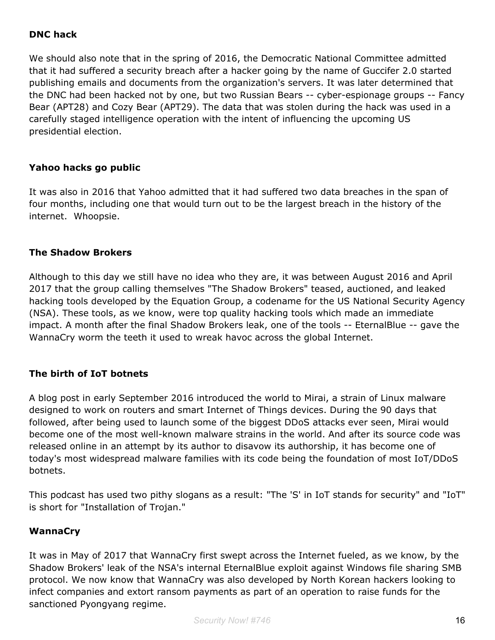#### **DNC hack**

We should also note that in the spring of 2016, the Democratic National Committee admitted that it had suffered a security breach after a hacker going by the name of Guccifer 2.0 started publishing emails and documents from the organization's servers. It was later determined that the DNC had been hacked not by one, but two Russian Bears -- cyber-espionage groups -- Fancy Bear (APT28) and Cozy Bear (APT29). The data that was stolen during the hack was used in a carefully staged intelligence operation with the intent of influencing the upcoming US presidential election.

#### **Yahoo hacks go public**

It was also in 2016 that Yahoo admitted that it had suffered two data breaches in the span of four months, including one that would turn out to be the largest breach in the history of the internet. Whoopsie.

#### **The Shadow Brokers**

Although to this day we still have no idea who they are, it was between August 2016 and April 2017 that the group calling themselves "The Shadow Brokers" teased, auctioned, and leaked hacking tools developed by the Equation Group, a codename for the US National Security Agency (NSA). These tools, as we know, were top quality hacking tools which made an immediate impact. A month after the final Shadow Brokers leak, one of the tools -- EternalBlue -- gave the WannaCry worm the teeth it used to wreak havoc across the global Internet.

#### **The birth of IoT botnets**

A blog post in early September 2016 introduced the world to Mirai, a strain of Linux malware designed to work on routers and smart Internet of Things devices. During the 90 days that followed, after being used to launch some of the biggest DDoS attacks ever seen, Mirai would become one of the most well-known malware strains in the world. And after its source code was released online in an attempt by its author to disavow its authorship, it has become one of today's most widespread malware families with its code being the foundation of most IoT/DDoS botnets.

This podcast has used two pithy slogans as a result: "The 'S' in IoT stands for security" and "IoT" is short for "Installation of Trojan."

#### **WannaCry**

It was in May of 2017 that WannaCry first swept across the Internet fueled, as we know, by the Shadow Brokers' leak of the NSA's internal EternalBlue exploit against Windows file sharing SMB protocol. We now know that WannaCry was also developed by North Korean hackers looking to infect companies and extort ransom payments as part of an operation to raise funds for the sanctioned Pyongyang regime.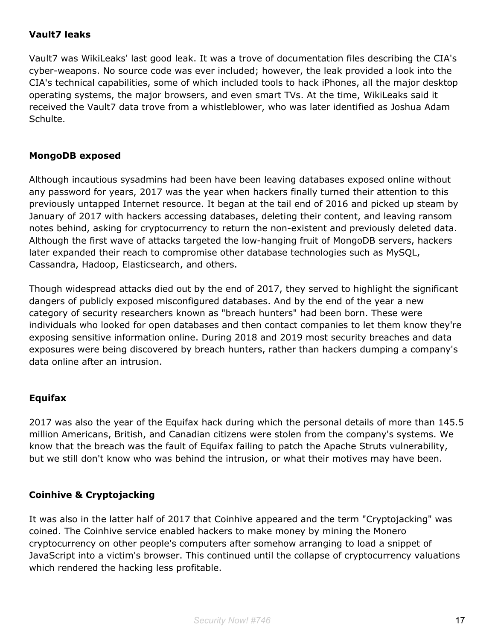#### **Vault7 leaks**

Vault7 was WikiLeaks' last good leak. It was a trove of documentation files describing the CIA's cyber-weapons. No source code was ever included; however, the leak provided a look into the CIA's technical capabilities, some of which included tools to hack iPhones, all the major desktop operating systems, the major browsers, and even smart TVs. At the time, WikiLeaks said it received the Vault7 data trove from a whistleblower, who was later identified as Joshua Adam Schulte.

#### **MongoDB exposed**

Although incautious sysadmins had been have been leaving databases exposed online without any password for years, 2017 was the year when hackers finally turned their attention to this previously untapped Internet resource. It began at the tail end of 2016 and picked up steam by January of 2017 with hackers accessing databases, deleting their content, and leaving ransom notes behind, asking for cryptocurrency to return the non-existent and previously deleted data. Although the first wave of attacks targeted the low-hanging fruit of MongoDB servers, hackers later expanded their reach to compromise other database technologies such as MySQL, Cassandra, Hadoop, Elasticsearch, and others.

Though widespread attacks died out by the end of 2017, they served to highlight the significant dangers of publicly exposed misconfigured databases. And by the end of the year a new category of security researchers known as "breach hunters" had been born. These were individuals who looked for open databases and then contact companies to let them know they're exposing sensitive information online. During 2018 and 2019 most security breaches and data exposures were being discovered by breach hunters, rather than hackers dumping a company's data online after an intrusion.

## **Equifax**

2017 was also the year of the Equifax hack during which the personal details of more than 145.5 million Americans, British, and Canadian citizens were stolen from the company's systems. We know that the breach was the fault of Equifax failing to patch the Apache Struts vulnerability, but we still don't know who was behind the intrusion, or what their motives may have been.

#### **Coinhive & Cryptojacking**

It was also in the latter half of 2017 that Coinhive appeared and the term "Cryptojacking" was coined. The Coinhive service enabled hackers to make money by mining the Monero cryptocurrency on other people's computers after somehow arranging to load a snippet of JavaScript into a victim's browser. This continued until the collapse of cryptocurrency valuations which rendered the hacking less profitable.